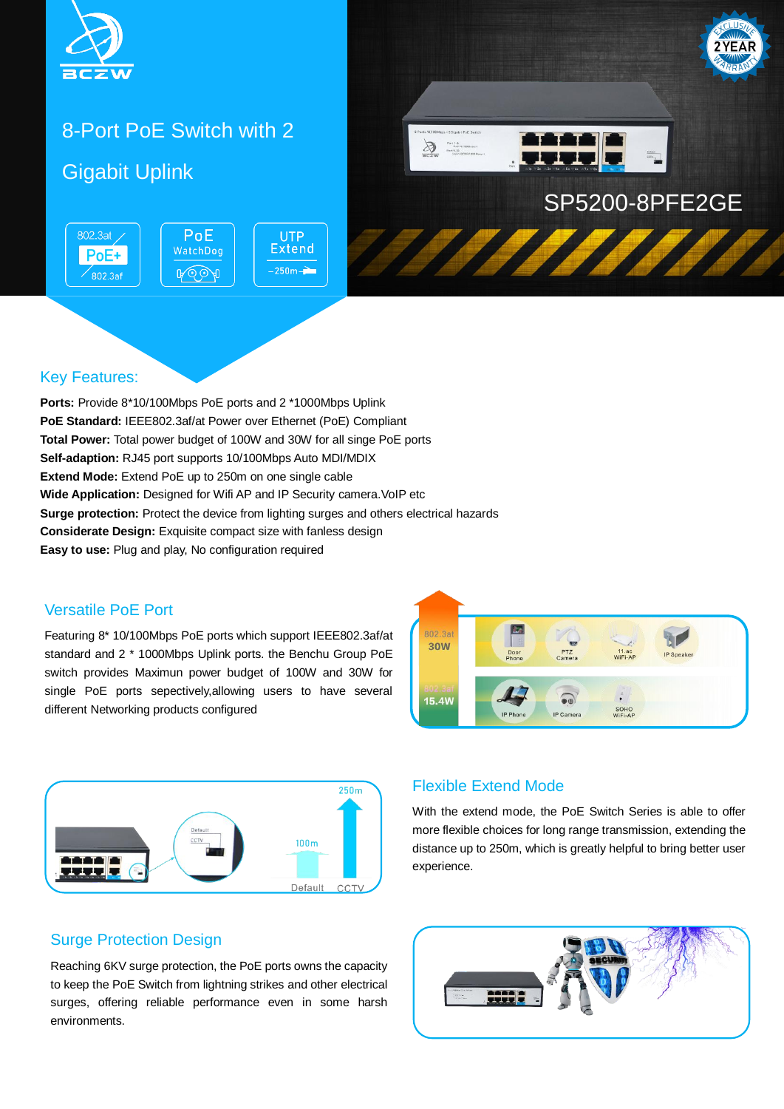

# 8-Port PoE Switch with 2

PoE

WatchDog

ROOA

## Gigabit Uplink



#### Key Features:

802.3at

 $PoE+$ 

 $\overline{802.3}$ af

**Ports:** Provide 8\*10/100Mbps PoE ports and 2 \*1000Mbps Uplink **PoE Standard:** IEEE802.3af/at Power over Ethernet (PoE) Compliant **Total Power:** Total power budget of 100W and 30W for all singe PoE ports **Self-adaption:** RJ45 port supports 10/100Mbps Auto MDI/MDIX **Extend Mode:** Extend PoE up to 250m on one single cable **Wide Application:** Designed for Wifi AP and IP Security camera.VoIP etc **Surge protection:** Protect the device from lighting surges and others electrical hazards **Considerate Design:** Exquisite compact size with fanless design **Easy to use:** Plug and play, No configuration required

**UTP Extend** 

 $-250m -$ 

#### Versatile PoE Port

Featuring 8\* 10/100Mbps PoE ports which support IEEE802.3af/at standard and 2 \* 1000Mbps Uplink ports. the Benchu Group PoE switch provides Maximun power budget of 100W and 30W for single PoE ports sepectively,allowing users to have several different Networking products configured





#### Flexible Extend Mode

With the extend mode, the PoE Switch Series is able to offer more flexible choices for long range transmission, extending the distance up to 250m, which is greatly helpful to bring better user experience.

#### Surge Protection Design

Reaching 6KV surge protection, the PoE ports owns the capacity to keep the PoE Switch from lightning strikes and other electrical surges, offering reliable performance even in some harsh environments.

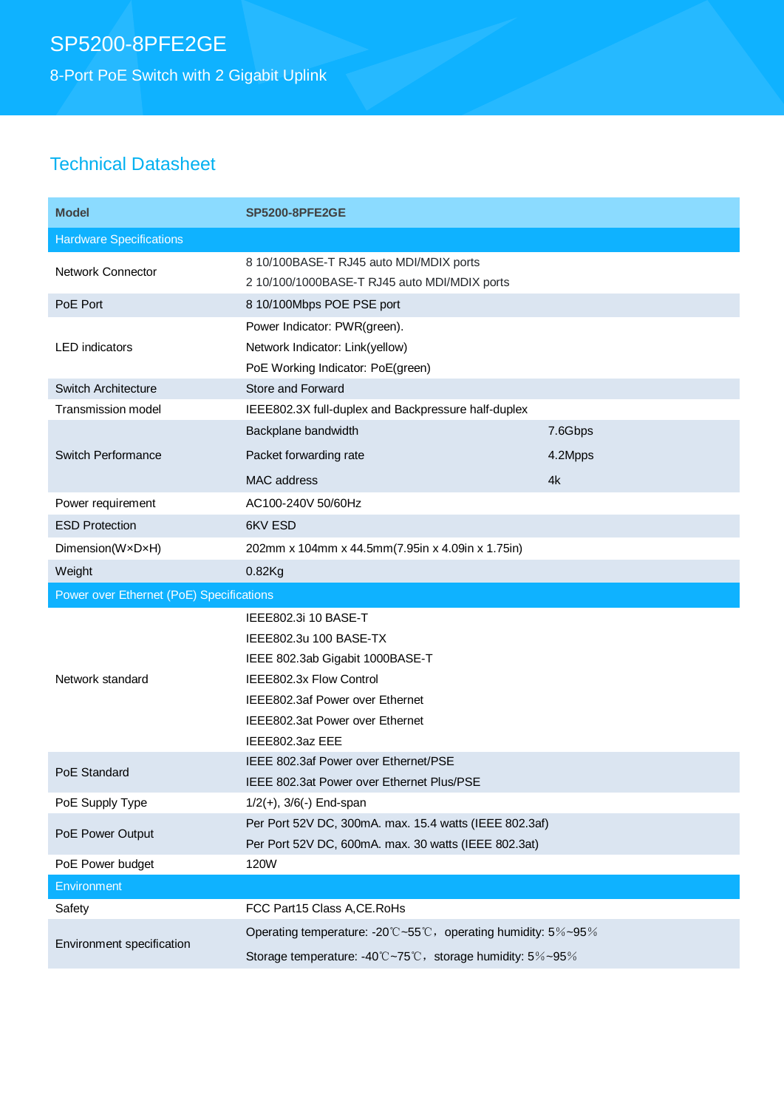8-Port PoE Switch with 2 Gigabit Uplink

## Technical Datasheet

| <b>Model</b>                             | <b>SP5200-8PFE2GE</b>                                         |         |
|------------------------------------------|---------------------------------------------------------------|---------|
| <b>Hardware Specifications</b>           |                                                               |         |
| <b>Network Connector</b>                 | 8 10/100BASE-T RJ45 auto MDI/MDIX ports                       |         |
|                                          | 2 10/100/1000BASE-T RJ45 auto MDI/MDIX ports                  |         |
| PoE Port                                 | 8 10/100Mbps POE PSE port                                     |         |
| <b>LED</b> indicators                    | Power Indicator: PWR(green).                                  |         |
|                                          | Network Indicator: Link(yellow)                               |         |
|                                          | PoE Working Indicator: PoE(green)                             |         |
| Switch Architecture                      | Store and Forward                                             |         |
| <b>Transmission model</b>                | IEEE802.3X full-duplex and Backpressure half-duplex           |         |
|                                          | Backplane bandwidth                                           | 7.6Gbps |
| Switch Performance                       | Packet forwarding rate                                        | 4.2Mpps |
|                                          | MAC address                                                   | 4k      |
| Power requirement                        | AC100-240V 50/60Hz                                            |         |
| <b>ESD Protection</b>                    | 6KV ESD                                                       |         |
| Dimension(WxDxH)                         | 202mm x 104mm x 44.5mm(7.95in x 4.09in x 1.75in)              |         |
| Weight                                   | $0.82$ Kg                                                     |         |
| Power over Ethernet (PoE) Specifications |                                                               |         |
|                                          |                                                               |         |
|                                          | IEEE802.3i 10 BASE-T                                          |         |
|                                          | IEEE802.3u 100 BASE-TX                                        |         |
|                                          | IEEE 802.3ab Gigabit 1000BASE-T                               |         |
| Network standard                         | IEEE802.3x Flow Control                                       |         |
|                                          | IEEE802.3af Power over Ethernet                               |         |
|                                          | IEEE802.3at Power over Ethernet                               |         |
|                                          | IEEE802.3az EEE                                               |         |
|                                          | IEEE 802.3af Power over Ethernet/PSE                          |         |
| PoE Standard                             | IEEE 802.3at Power over Ethernet Plus/PSE                     |         |
| PoE Supply Type                          | $1/2(+)$ , $3/6(-)$ End-span                                  |         |
|                                          | Per Port 52V DC, 300mA. max. 15.4 watts (IEEE 802.3af)        |         |
| PoE Power Output                         | Per Port 52V DC, 600mA. max. 30 watts (IEEE 802.3at)          |         |
| PoE Power budget                         | 120W                                                          |         |
| Environment                              |                                                               |         |
| Safety                                   | FCC Part15 Class A, CE. RoHs                                  |         |
| Environment specification                | Operating temperature: -20°C~55°C, operating humidity: 5%~95% |         |